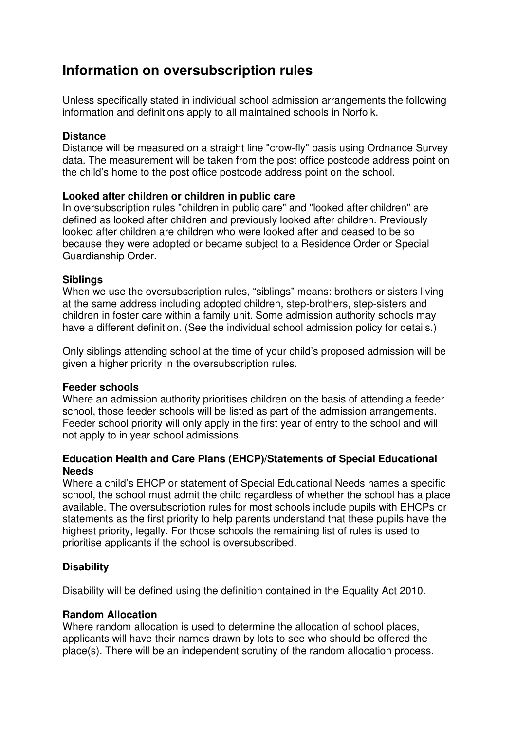# **Information on oversubscription rules**

Unless specifically stated in individual school admission arrangements the following information and definitions apply to all maintained schools in Norfolk.

#### **Distance**

Distance will be measured on a straight line "crow-fly" basis using Ordnance Survey data. The measurement will be taken from the post office postcode address point on the child's home to the post office postcode address point on the school.

#### **Looked after children or children in public care**

In oversubscription rules "children in public care" and "looked after children" are defined as looked after children and previously looked after children. Previously looked after children are children who were looked after and ceased to be so because they were adopted or became subject to a Residence Order or Special Guardianship Order.

#### **Siblings**

When we use the oversubscription rules, "siblings" means: brothers or sisters living at the same address including adopted children, step-brothers, step-sisters and children in foster care within a family unit. Some admission authority schools may have a different definition. (See the individual school admission policy for details.)

Only siblings attending school at the time of your child's proposed admission will be given a higher priority in the oversubscription rules.

#### **Feeder schools**

Where an admission authority prioritises children on the basis of attending a feeder school, those feeder schools will be listed as part of the admission arrangements. Feeder school priority will only apply in the first year of entry to the school and will not apply to in year school admissions.

#### **Education Health and Care Plans (EHCP)/Statements of Special Educational Needs**

Where a child's EHCP or statement of Special Educational Needs names a specific school, the school must admit the child regardless of whether the school has a place available. The oversubscription rules for most schools include pupils with EHCPs or statements as the first priority to help parents understand that these pupils have the highest priority, legally. For those schools the remaining list of rules is used to prioritise applicants if the school is oversubscribed.

### **Disability**

Disability will be defined using the definition contained in the Equality Act 2010.

### **Random Allocation**

Where random allocation is used to determine the allocation of school places, applicants will have their names drawn by lots to see who should be offered the place(s). There will be an independent scrutiny of the random allocation process.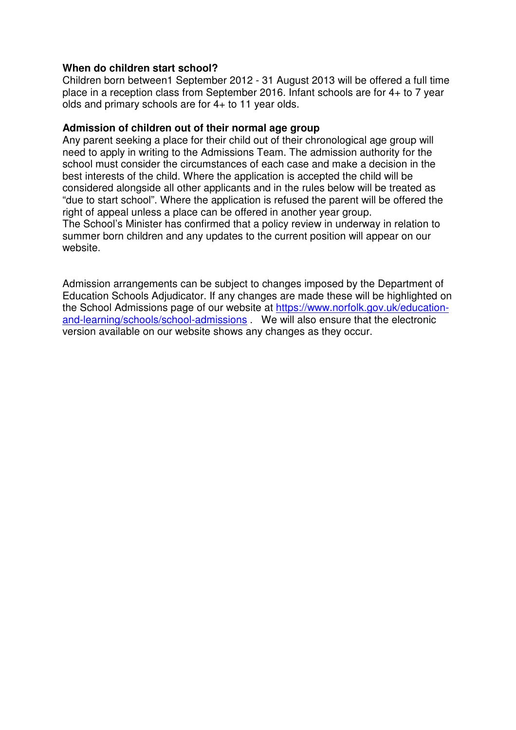#### **When do children start school?**

Children born between1 September 2012 - 31 August 2013 will be offered a full time place in a reception class from September 2016. Infant schools are for 4+ to 7 year olds and primary schools are for 4+ to 11 year olds.

#### **Admission of children out of their normal age group**

Any parent seeking a place for their child out of their chronological age group will need to apply in writing to the Admissions Team. The admission authority for the school must consider the circumstances of each case and make a decision in the best interests of the child. Where the application is accepted the child will be considered alongside all other applicants and in the rules below will be treated as "due to start school". Where the application is refused the parent will be offered the right of appeal unless a place can be offered in another year group.

The School's Minister has confirmed that a policy review in underway in relation to summer born children and any updates to the current position will appear on our website.

Admission arrangements can be subject to changes imposed by the Department of Education Schools Adjudicator. If any changes are made these will be highlighted on the School Admissions page of our website at https://www.norfolk.gov.uk/educationand-learning/schools/school-admissions . We will also ensure that the electronic version available on our website shows any changes as they occur.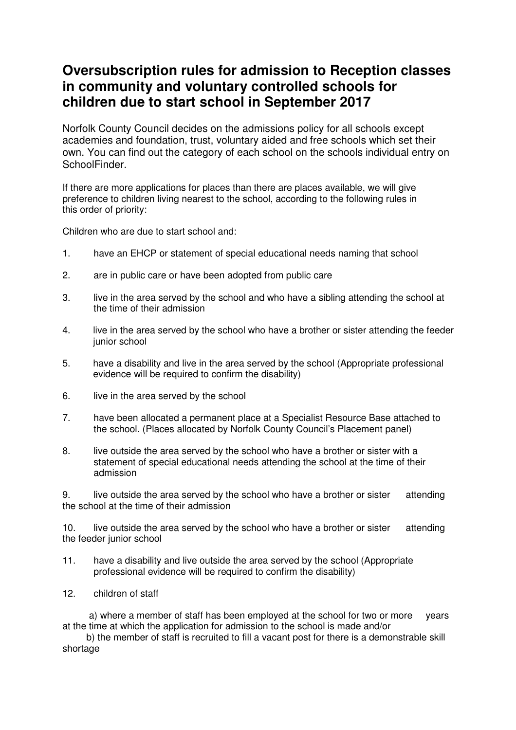# **Oversubscription rules for admission to Reception classes in community and voluntary controlled schools for children due to start school in September 2017**

Norfolk County Council decides on the admissions policy for all schools except academies and foundation, trust, voluntary aided and free schools which set their own. You can find out the category of each school on the schools individual entry on SchoolFinder.

If there are more applications for places than there are places available, we will give preference to children living nearest to the school, according to the following rules in this order of priority:

Children who are due to start school and:

- 1. have an EHCP or statement of special educational needs naming that school
- 2. are in public care or have been adopted from public care
- 3. live in the area served by the school and who have a sibling attending the school at the time of their admission
- 4. live in the area served by the school who have a brother or sister attending the feeder junior school
- 5. have a disability and live in the area served by the school (Appropriate professional evidence will be required to confirm the disability)
- 6. live in the area served by the school
- 7. have been allocated a permanent place at a Specialist Resource Base attached to the school. (Places allocated by Norfolk County Council's Placement panel)
- 8. live outside the area served by the school who have a brother or sister with a statement of special educational needs attending the school at the time of their admission

9. live outside the area served by the school who have a brother or sister attending the school at the time of their admission

10. live outside the area served by the school who have a brother or sister attending the feeder junior school

- 11. have a disability and live outside the area served by the school (Appropriate professional evidence will be required to confirm the disability)
- 12. children of staff

 a) where a member of staff has been employed at the school for two or more years at the time at which the application for admission to the school is made and/or

 b) the member of staff is recruited to fill a vacant post for there is a demonstrable skill shortage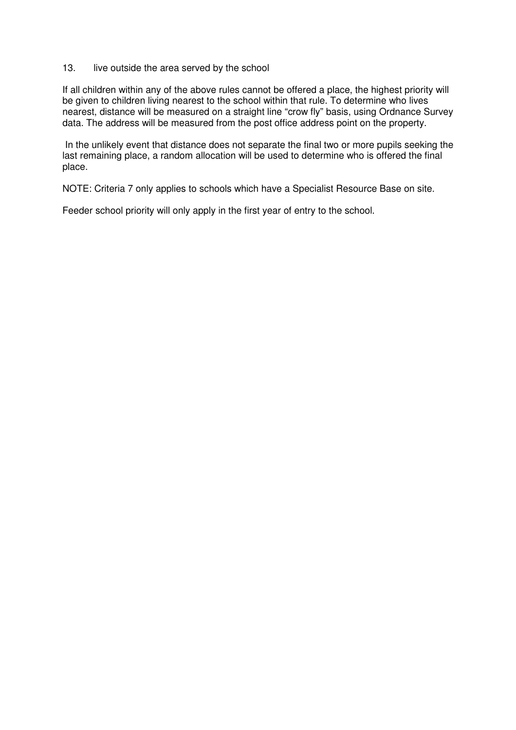#### 13. live outside the area served by the school

If all children within any of the above rules cannot be offered a place, the highest priority will be given to children living nearest to the school within that rule. To determine who lives nearest, distance will be measured on a straight line "crow fly" basis, using Ordnance Survey data. The address will be measured from the post office address point on the property.

 In the unlikely event that distance does not separate the final two or more pupils seeking the last remaining place, a random allocation will be used to determine who is offered the final place.

NOTE: Criteria 7 only applies to schools which have a Specialist Resource Base on site.

Feeder school priority will only apply in the first year of entry to the school.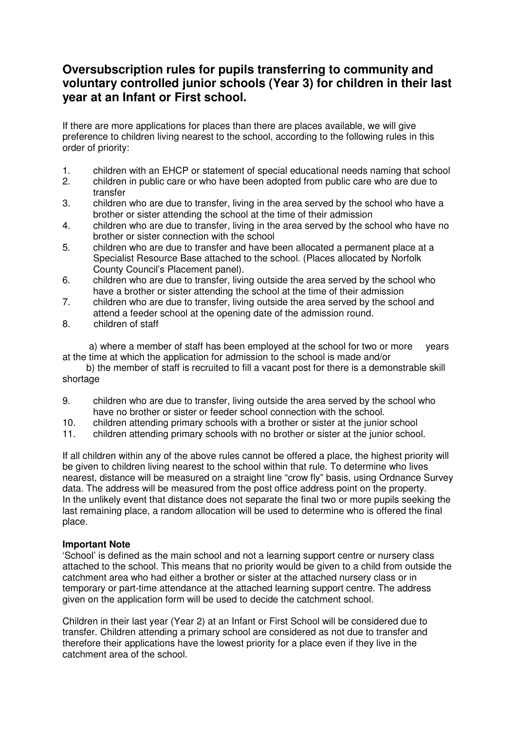## **Oversubscription rules for pupils transferring to community and voluntary controlled junior schools (Year 3) for children in their last year at an Infant or First school.**

If there are more applications for places than there are places available, we will give preference to children living nearest to the school, according to the following rules in this order of priority:

- 1. children with an EHCP or statement of special educational needs naming that school
- 2. children in public care or who have been adopted from public care who are due to transfer
- 3. children who are due to transfer, living in the area served by the school who have a brother or sister attending the school at the time of their admission
- 4. children who are due to transfer, living in the area served by the school who have no brother or sister connection with the school
- 5. children who are due to transfer and have been allocated a permanent place at a Specialist Resource Base attached to the school. (Places allocated by Norfolk County Council's Placement panel).
- 6. children who are due to transfer, living outside the area served by the school who have a brother or sister attending the school at the time of their admission
- 7. children who are due to transfer, living outside the area served by the school and attend a feeder school at the opening date of the admission round.
- 8. children of staff

 a) where a member of staff has been employed at the school for two or more years at the time at which the application for admission to the school is made and/or

 b) the member of staff is recruited to fill a vacant post for there is a demonstrable skill shortage

- 9. children who are due to transfer, living outside the area served by the school who have no brother or sister or feeder school connection with the school.
- 10. children attending primary schools with a brother or sister at the junior school
- 11. children attending primary schools with no brother or sister at the junior school.

If all children within any of the above rules cannot be offered a place, the highest priority will be given to children living nearest to the school within that rule. To determine who lives nearest, distance will be measured on a straight line "crow fly" basis, using Ordnance Survey data. The address will be measured from the post office address point on the property. In the unlikely event that distance does not separate the final two or more pupils seeking the last remaining place, a random allocation will be used to determine who is offered the final place.

#### **Important Note**

'School' is defined as the main school and not a learning support centre or nursery class attached to the school. This means that no priority would be given to a child from outside the catchment area who had either a brother or sister at the attached nursery class or in temporary or part-time attendance at the attached learning support centre. The address given on the application form will be used to decide the catchment school.

Children in their last year (Year 2) at an Infant or First School will be considered due to transfer. Children attending a primary school are considered as not due to transfer and therefore their applications have the lowest priority for a place even if they live in the catchment area of the school.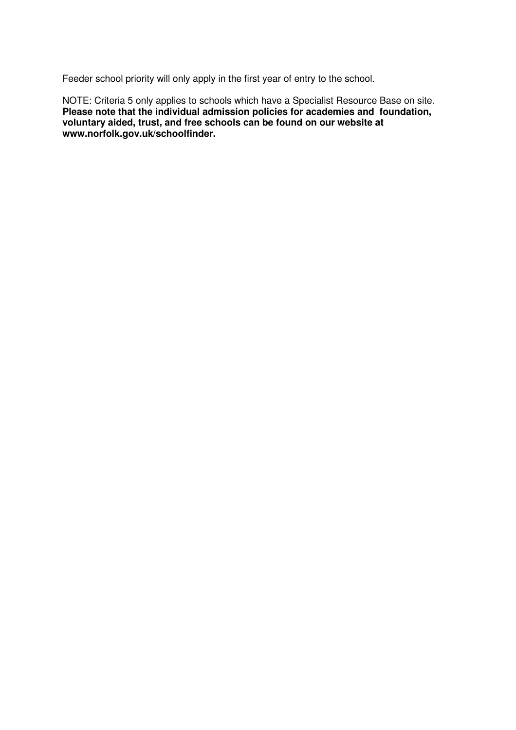Feeder school priority will only apply in the first year of entry to the school.

NOTE: Criteria 5 only applies to schools which have a Specialist Resource Base on site. **Please note that the individual admission policies for academies and foundation, voluntary aided, trust, and free schools can be found on our website at www.norfolk.gov.uk/schoolfinder.**